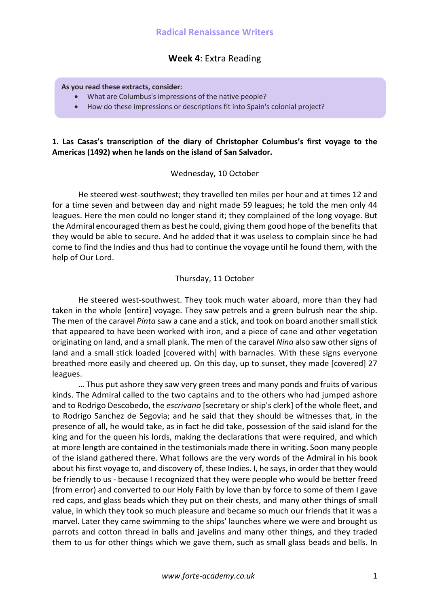# **Week 4**: Extra Reading

#### **As you read these extracts, consider:**

- What are Columbus's impressions of the native people?
- How do these impressions or descriptions fit into Spain's colonial project?

# **1. Las Casas's transcription of the diary of Christopher Columbus's first voyage to the Americas (1492) when he lands on the island of San Salvador.**

### Wednesday, 10 October

He steered west-southwest; they travelled ten miles per hour and at times 12 and for a time seven and between day and night made 59 leagues; he told the men only 44 leagues. Here the men could no longer stand it; they complained of the long voyage. But the Admiral encouraged them as best he could, giving them good hope of the benefits that they would be able to secure. And he added that it was useless to complain since he had come to find the Indies and thus had to continue the voyage until he found them, with the help of Our Lord.

### Thursday, 11 October

He steered west-southwest. They took much water aboard, more than they had taken in the whole [entire] voyage. They saw petrels and a green bulrush near the ship. The men of the caravel *Pinta* saw a cane and a stick, and took on board another small stick that appeared to have been worked with iron, and a piece of cane and other vegetation originating on land, and a small plank. The men of the caravel *Nina* also saw other signs of land and a small stick loaded [covered with] with barnacles. With these signs everyone breathed more easily and cheered up. On this day, up to sunset, they made [covered] 27 leagues.

… Thus put ashore they saw very green trees and many ponds and fruits of various kinds. The Admiral called to the two captains and to the others who had jumped ashore and to Rodrigo Descobedo, the *escrivano* [secretary or ship's clerk] of the whole fleet, and to Rodrigo Sanchez de Segovia; and he said that they should be witnesses that, in the presence of all, he would take, as in fact he did take, possession of the said island for the king and for the queen his lords, making the declarations that were required, and which at more length are contained in the testimonials made there in writing. Soon many people of the island gathered there. What follows are the very words of the Admiral in his book about his first voyage to, and discovery of, these Indies. I, he says, in order that they would be friendly to us - because I recognized that they were people who would be better freed (from error) and converted to our Holy Faith by love than by force to some of them I gave red caps, and glass beads which they put on their chests, and many other things of small value, in which they took so much pleasure and became so much our friends that it was a marvel. Later they came swimming to the ships' launches where we were and brought us parrots and cotton thread in balls and javelins and many other things, and they traded them to us for other things which we gave them, such as small glass beads and bells. In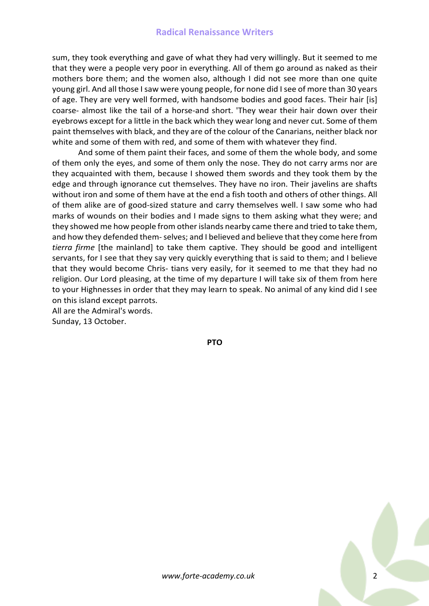sum, they took everything and gave of what they had very willingly. But it seemed to me that they were a people very poor in everything. All of them go around as naked as their mothers bore them; and the women also, although I did not see more than one quite young girl. And all those I saw were young people, for none did I see of more than 30 years of age. They are very well formed, with handsome bodies and good faces. Their hair [is] coarse- almost like the tail of a horse-and short. 'They wear their hair down over their eyebrows except for a little in the back which they wear long and never cut. Some of them paint themselves with black, and they are of the colour of the Canarians, neither black nor white and some of them with red, and some of them with whatever they find.

And some of them paint their faces, and some of them the whole body, and some of them only the eyes, and some of them only the nose. They do not carry arms nor are they acquainted with them, because I showed them swords and they took them by the edge and through ignorance cut themselves. They have no iron. Their javelins are shafts without iron and some of them have at the end a fish tooth and others of other things. All of them alike are of good-sized stature and carry themselves well. I saw some who had marks of wounds on their bodies and I made signs to them asking what they were; and they showed me how people from other islands nearby came there and tried to take them, and how they defended them- selves; and I believed and believe that they come here from *tierra firme* [the mainland] to take them captive. They should be good and intelligent servants, for I see that they say very quickly everything that is said to them; and I believe that they would become Chris- tians very easily, for it seemed to me that they had no religion. Our Lord pleasing, at the time of my departure I will take six of them from here to your Highnesses in order that they may learn to speak. No animal of any kind did I see on this island except parrots.

All are the Admiral's words.

Sunday, 13 October.

**PTO**